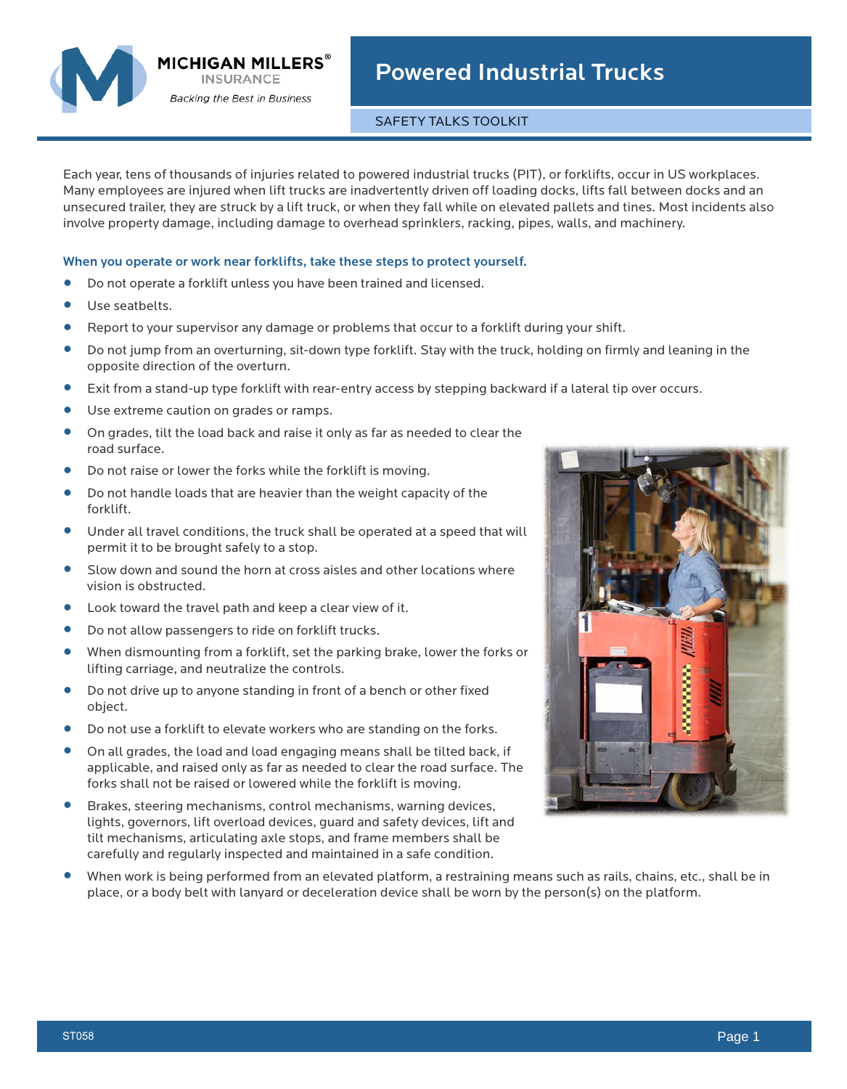

**MICHIGAN MILLERS** $^{\circ}$ **INSURANCE Backing the Best in Business** 

## Powered Industrial Trucks

## SAFETY TALKS TOOLKIT

Each year, tens of thousands of injuries related to powered industrial trucks (PIT), or forklifts, occur in US workplaces. Many employees are injured when lift trucks are inadvertently driven off loading docks, lifts fall between docks and an unsecured trailer, they are struck by a lift truck, or when they fall while on elevated pallets and tines. Most incidents also involve property damage, including damage to overhead sprinklers, racking, pipes, walls, and machinery.

## When you operate or work near forklifts, take these steps to protect yourself.

- **•** Do not operate a forklift unless you have been trained and licensed.
- **•** Use seatbelts.
- **•** Report to your supervisor any damage or problems that occur to a forklift during your shift.<br>• Do not jump from an overturning sit-down type forklift. Stay with the truck, holding on firm
- **•** Do not jump from an overturning, sit-down type forklift. Stay with the truck, holding on firmly and leaning in the opposite direction of the overturn.
- **•** Exit from a stand-up type forklift with rear-entry access by stepping backward if a lateral tip over occurs.
- **•** Use extreme caution on grades or ramps.<br>• On grades tilt the load back and raise it o
- **•** On grades, tilt the load back and raise it only as far as needed to clear the road surface.
- Do not raise or lower the forks while the forklift is moving.<br>● Do not handle loads that are heavier than the weight capac
- **•** Do not handle loads that are heavier than the weight capacity of the forklift.
- **•** Under all travel conditions, the truck shall be operated at a speed that will permit it to be brought safely to a stop.
- **•** Slow down and sound the horn at cross aisles and other locations where vision is obstructed.
- **•** Look toward the travel path and keep a clear view of it.
- **•** Do not allow passengers to ride on forklift trucks.<br>• When dismounting from a forklift set the parking
- **•** When dismounting from a forklift, set the parking brake, lower the forks or lifting carriage, and neutralize the controls.
- **•** Do not drive up to anyone standing in front of a bench or other fixed object.
- Do not use a forklift to elevate workers who are standing on the forks.<br>● On all grades, the load and load engaging means shall be tilted back.
- **•** On all grades, the load and load engaging means shall be tilted back, if applicable, and raised only as far as needed to clear the road surface. The forks shall not be raised or lowered while the forklift is moving.
- **•** Brakes, steering mechanisms, control mechanisms, warning devices, lights, governors, lift overload devices, guard and safety devices, lift and tilt mechanisms, articulating axle stops, and frame members shall be carefully and regularly inspected and maintained in a safe condition.
- **•** When work is being performed from an elevated platform, a restraining means such as rails, chains, etc., shall be in place, or a body belt with lanyard or deceleration device shall be worn by the person(s) on the platform.